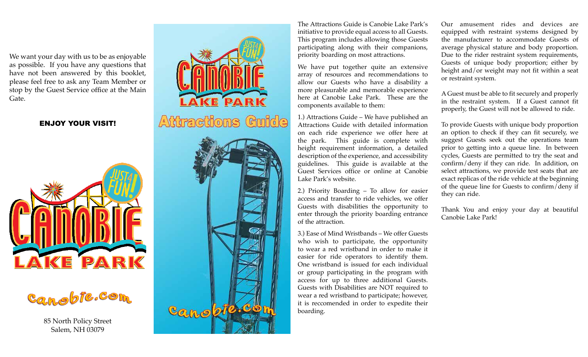We want your day with us to be as enjoyable as possible. If you have any questions that have not been answered by this booklet, please feel free to ask any Team Member or stop by the Guest Service office at the Main Gate.

# ENJOY YOUR VISIT!





85 North Policy Street Salem, NH 03079



The Attractions Guide is Canobie Lake Park's initiative to provide equal access to all Guests. This program includes allowing those Guests participating along with their companions, priority boarding on most attractions.

We have put together quite an extensive array of resources and recommendations to allow our Guests who have a disability a more pleasurable and memorable experience here at Canobie Lake Park. These are the components available to them:

1.) Attractions Guide – We have published an Attractions Guide with detailed information on each ride experience we offer here at the park. This guide is complete with height requirement information, a detailed description of the experience, and accessibility guidelines. This guide is available at the Guest Services office or online at Canobie Lake Park's website.

2.) Priority Boarding – To allow for easier access and transfer to ride vehicles, we offer Guests with disabilities the opportunity to enter through the priority boarding entrance of the attraction.

3.) Ease of Mind Wristbands – We offer Guests who wish to participate, the opportunity to wear a red wristband in order to make it easier for ride operators to identify them. One wristband is issued for each individual or group participating in the program with access for up to three additional Guests. Guests with Disabilities are NOT required to wear a red wristband to participate; however, it is reccomended in order to expedite their boarding.

Our amusement rides and devices are equipped with restraint systems designed by the manufacturer to accommodate Guests of average physical stature and body proportion. Due to the rider restraint system requirements, Guests of unique body proportion; either by height and/or weight may not fit within a seat or restraint system.

A Guest must be able to fit securely and properly in the restraint system. If a Guest cannot fit properly, the Guest will not be allowed to ride.

To provide Guests with unique body proportion an option to check if they can fit securely, we suggest Guests seek out the operations team prior to getting into a queue line. In between cycles, Guests are permitted to try the seat and confirm/deny if they can ride. In addition, on select attractions, we provide test seats that are exact replicas of the ride vehicle at the beginning of the queue line for Guests to confirm/deny if they can ride.

Thank You and enjoy your day at beautiful Canobie Lake Park!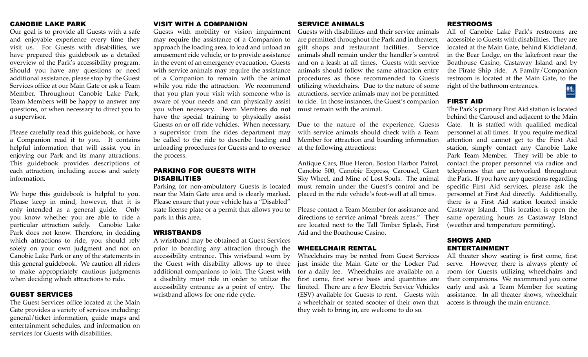#### CANOBIE LAKE PARK

Our goal is to provide all Guests with a safe and enjoyable experience every time they visit us. For Guests with disabilities, we have prepared this guidebook as a detailed overview of the Park's accessibility program. Should you have any questions or need additional assistance, please stop by the Guest Services office at our Main Gate or ask a Team Member. Throughout Canobie Lake Park, Team Members will be happy to answer any questions, or when necessary to direct you to a supervisor.

Please carefully read this guidebook, or have a Companion read it to you. It contains helpful information that will assist you in enjoying our Park and its many attractions. This guidebook provides descriptions of each attraction, including access and safety information.

We hope this guidebook is helpful to you. Please keep in mind, however, that it is only intended as a general guide. Only you know whether you are able to ride a particular attraction safely. Canobie Lake Park does not know. Therefore, in deciding which attractions to ride, you should rely solely on your own judgment and not on Canobie Lake Park or any of the statements in this general guidebook. We caution all riders to make appropriately cautious judgments when deciding which attractions to ride.

#### GUEST SERVICES

The Guest Services office located at the Main Gate provides a variety of services including: general/ticket information, guide maps and entertainment schedules, and information on services for Guests with disabilities.

### VISIT WITH A COMPANION

Guests with mobility or vision impairment may require the assistance of a Companion to approach the loading area, to load and unload an amusement ride vehicle, or to provide assistance in the event of an emergency evacuation. Guests with service animals may require the assistance of a Companion to remain with the animal while you ride the attraction. We recommend that you plan your visit with someone who is aware of your needs and can physically assist you when necessary. Team Members **do not** have the special training to physically assist Guests on or off ride vehicles. When necessary, a supervisor from the rides department may be called to the ride to describe loading and unloading procedures for Guests and to oversee the process.

# PARKING FOR GUESTS WITH DISABILITIES

Parking for non-ambulatory Guests is located near the Main Gate area and is clearly marked. Please ensure that your vehicle has a "Disabled" state license plate or a permit that allows you to park in this area.

#### WRISTBANDS

A wristband may be obtained at Guest Services prior to boarding any attraction through the accessibility entrance. This wristband worn by the Guest with disability allows up to three additional companions to join. The Guest with a disability must ride in order to utilize the accessibility entrance as a point of entry. The wristband allows for one ride cycle.

#### SERVICE ANIMALS

Guests with disabilities and their service animals are permitted throughout the Park and in theaters, gift shops and restaurant facilities. Service animals shall remain under the handler's control and on a leash at all times. Guests with service animals should follow the same attraction entry procedures as those recommended to Guests utilizing wheelchairs. Due to the nature of some attractions, service animals may not be permitted to ride. In those instances, the Guest's companion must remain with the animal.

Due to the nature of the experience, Guests with service animals should check with a Team Member for attraction and boarding information at the following attractions:

Antique Cars, Blue Heron, Boston Harbor Patrol, Canobie 500, Canobie Express, Carousel, Giant Sky Wheel, and Mine of Lost Souls. The animal must remain under the Guest's control and be placed in the ride vehicle's foot-well at all times.

Please contact a Team Member for assistance and directions to service animal "break areas." They are located next to the Tall Timber Splash, First Aid and the Boathouse Casino.

#### WHEELCHAIR RENTAL

Wheelchairs may be rented from Guest Services just inside the Main Gate or the Locker Pad for a daily fee. Wheelchairs are available on a first come, first serve basis and quantities are limited. There are a few Electric Service Vehicles (ESV) available for Guests to rent. Guests with a wheelchair or seated scooter of their own that they wish to bring in, are welcome to do so.

#### RESTROOMS

All of Canobie Lake Park's restrooms are accessible to Guests with disabilities. They are located at the Main Gate, behind Kiddieland, in the Bear Lodge, on the lakefront near the Boathouse Casino, Castaway Island and by the Pirate Ship ride. A Family/Companion restroom is located at the Main Gate, to the right of the bathroom entrances.  $h$ 

#### FIRST AID

The Park's primary First Aid station is located behind the Carousel and adjacent to the Main Gate. It is staffed with qualified medical personnel at all times. If you require medical attention and cannot get to the First Aid station, simply contact any Canobie Lake Park Team Member. They will be able to contact the proper personnel via radios and telephones that are networked throughout the Park. If you have any questions regarding specific First Aid services, please ask the personnel at First Aid directly. Additionally, there is a First Aid station located inside Castaway Island. This location is open the same operating hours as Castaway Island (weather and temperature permiting).

# SHOWS AND ENTERTAINMENT

All theater show seating is first come, first serve. However, there is always plenty of room for Guests utilizing wheelchairs and their companions. We recommend you come early and ask a Team Member for seating assistance. In all theater shows, wheelchair access is through the main entrance.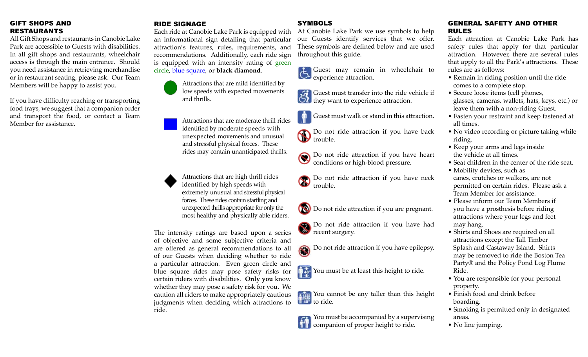# GIFT SHOPS AND RESTAURANTS

All Gift Shops and restaurants in Canobie Lake Park are accessible to Guests with disabilities. In all gift shops and restaurants, wheelchair access is through the main entrance. Should you need assistance in retrieving merchandise or in restaurant seating, please ask. Our Team Members will be happy to assist you.

If you have difficulty reaching or transporting food trays, we suggest that a companion order and transport the food, or contact a Team Member for assistance.

# RIDE SIGNAGE

Each ride at Canobie Lake Park is equipped with an informational sign detailing that particular attraction's features, rules, requirements, and recommendations. Additionally, each ride sign is equipped with an intensity rating of green circle, blue square, or **black diamond**.



Attractions that are moderate thrill rides identified by moderate speeds with unexpected movements and unusual and stressful physical forces. These rides may contain unanticipated thrills.

Attractions that are high thrill rides identified by high speeds with extremely unusual and stressful physical forces. These rides contain startling and unexpected thrills appropriate for only the most healthy and physically able riders.

The intensity ratings are based upon a series of objective and some subjective criteria and are offered as general recommendations to all of our Guests when deciding whether to ride a particular attraction. Even green circle and blue square rides may pose safety risks for certain riders with disabilities. **Only you** know whether they may pose a safety risk for you. We caution all riders to make appropriately cautious judgments when deciding which attractions to ride.

# **SYMBOLS**

At Canobie Lake Park we use symbols to help our Guests identify services that we offer. These symbols are defined below and are used throughout this guide.

Guest may remain in wheelchair to experience attraction.

**Guest must transfer into the ride vehicle if** they want to experience attraction.

Guest must walk or stand in this attraction.

Do not ride attraction if you have back Do not trouble.

Do not ride attraction if you have heart conditions or high-blood pressure.

Do not ride attraction if you have neck trouble.

Do not ride attraction if you are pregnant.

Do not ride attraction if you have had recent surgery.

Do not ride attraction if you have epilepsy.

You must be at least this height to ride.

You cannot be any taller than this height **t**<sup>148</sup> to ride.

You must be accompanied by a supervising companion of proper height to ride.

# GENERAL SAFETY AND OTHER RULES

Each attraction at Canobie Lake Park has safety rules that apply for that particular attraction. However, there are several rules that apply to all the Park's attractions. These rules are as follows:

- Remain in riding position until the ride comes to a complete stop.
- Secure loose items (cell phones, glasses, cameras, wallets, hats, keys, etc.) or leave them with a non-riding Guest.
- Fasten your restraint and keep fastened at all times.
- No video recording or picture taking while riding.
- Keep your arms and legs inside the vehicle at all times.
- Seat children in the center of the ride seat.
- Mobility devices, such as canes, crutches or walkers, are not permitted on certain rides. Please ask a Team Member for assistance.
- Please inform our Team Members if you have a prosthesis before riding attractions where your legs and feet may hang.
- Shirts and Shoes are required on all attractions except the Tall Timber Splash and Castaway Island. Shirts may be removed to ride the Boston Tea Party® and the Policy Pond Log Flume Ride.
- You are responsible for your personal property.
- Finish food and drink before boarding.
- Smoking is permitted only in designated areas.
- No line jumping.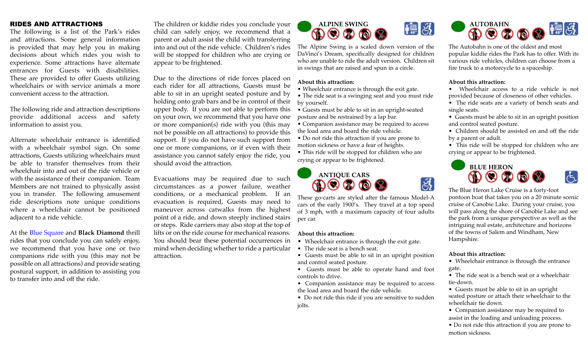### RIDES AND ATTRACTIONS

The following is a list of the Park's rides and attractions. Some general information is provided that may help you in making decisions about which rides you wish to experience. Some attractions have alternate entrances for Guests with disabilities. These are provided to offer Guests utilizing wheelchairs or with service animals a more convenient access to the attraction.

The following ride and attraction descriptions provide additional access and safety information to assist you.

Alternate wheelchair entrance is identified with a wheelchair symbol sign. On some attractions, Guests utilizing wheelchairs must be able to transfer themselves from their wheelchair into and out of the ride vehicle or with the assistance of their companion. Team Members are not trained to physically assist you in transfer. The following amusement ride descriptions note unique conditions where a wheelchair cannot be positioned adjacent to a ride vehicle.

At the Blue Square and **Black Diamond** thrill rides that you conclude you can safely enjoy, we recommend that you have one or two companions ride with you (this may not be possible on all attractions) and provide seating postural support, in addition to assisting you to transfer into and off the ride.

The children or kiddie rides you conclude your child can safely enjoy, we recommend that a parent or adult assist the child with transferring into and out of the ride vehicle. Children's rides will be stopped for children who are crying or appear to be frightened.

Due to the directions of ride forces placed on each rider for all attractions, Guests must be able to sit in an upright seated posture and by holding onto grab bars and be in control of their upper body. If you are not able to perform this on your own, we recommend that you have one or more companion(s) ride with you (this may not be possible on all attractions) to provide this support. If you do not have such support from one or more companions, or if even with their assistance you cannot safely enjoy the ride, you should avoid the attraction.

Evacuations may be required due to such circumstances as a power failure, weather conditions, or a mechanical problem. If an evacuation is required, Guests may need to maneuver across catwalks from the highest point of a ride, and down steeply inclined stairs or steps. Ride carriers may also stop at the top of lifts or on the ride course for mechanical reasons. You should bear these potential occurrences in mind when deciding whether to ride a particular attraction.



The Alpine Swing is a scaled down version of the DaVinci's Dream, specifically designed for children who are unable to ride the adult version. Children sit in swings that are raised and spun in a circle.

#### **About this attraction:**

- Wheelchair entrance is through the exit gate.
- The ride seat is a swinging seat and you must ride by yourself.
- Guests must be able to sit in an upright-seated posture and be restrained by a lap bar.
- Companion assistance may be required to access the load area and board the ride vehicle.
- Do not ride this attraction if you are prone to motion sickness or have a fear of heights.
- This ride will be stopped for children who are crying or appear to be frightened.

# **ANTIQUE CARS**

These go-carts are styled after the famous Model-A cars of the early 1900's. They travel at a top speed of 3 mph, with a maximum capacity of four adults per car.

#### **About this attraction:**

- Wheelchair entrance is through the exit gate.
- The ride seat is a bench seat.

• Guests must be able to sit in an upright position and control seated posture.

• Guests must be able to operate hand and foot controls to drive.

• Companion assistance may be required to access the load area and board the ride vehicle.

• Do not ride this ride if you are sensitive to sudden jolts.



The Autobahn is one of the oldest and most popular kiddie rides the Park has to offer. With its various ride vehicles, children can choose from a fire truck to a motorcycle to a spaceship.

#### **About this attraction:**

- Wheelchair access to a ride vehicle is not provided because of closeness of other vehicles.
- The ride seats are a variety of bench seats and single seats.
- Guests must be able to sit in an upright position and control seated posture.
- Children should be assisted on and off the ride by a parent or adult.

• This ride will be stopped for children who are crying or appear to be frightened.



The Blue Heron Lake Cruise is a forty-foot pontoon boat that takes you on a 20 minute scenic cruise of Canobie Lake. During your cruise, you will pass along the shore of Canobie Lake and see the park from a unique perspective as well as the intriguing real estate, architecture and horizons of the towns of Salem and Windham, New Hampshire.

#### **About this attraction:**

 $\vec{e}$ 

• Wheelchair entrance is through the entrance gate.

• The ride seat is a bench seat or a wheelchair tie-down.

• Guests must be able to sit in an upright seated posture or attach their wheelchair to the wheelchair tie down.

- Companion assistance may be required to assist in the loading and unloading process.
- Do not ride this attraction if you are prone to motion sickness.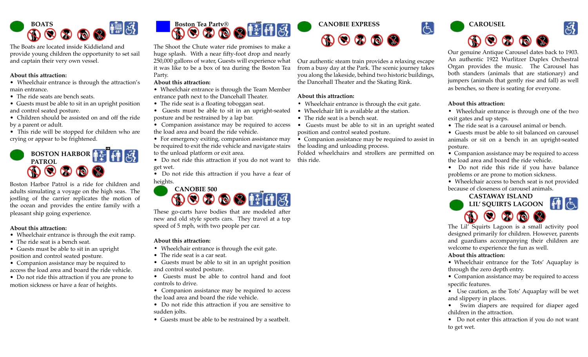

The Boats are located inside Kiddieland and provide young children the opportunity to set sail and captain their very own vessel.

#### **About this attraction:**

• Wheelchair entrance is through the attraction's main entrance.

- The ride seats are bench seats.
- Guests must be able to sit in an upright position and control seated posture.

• Children should be assisted on and off the ride by a parent or adult.

• This ride will be stopped for children who are crying or appear to be frightened.

# **BOSTON HARBOR PATROL**

Boston Harbor Patrol is a ride for children and adults simulating a voyage on the high seas. The jostling of the carrier replicates the motion of the ocean and provides the entire family with a pleasant ship going experience.

#### **About this attraction:**

- Wheelchair entrance is through the exit ramp.
- The ride seat is a bench seat.
- Guests must be able to sit in an upright position and control seated posture.

• Companion assistance may be required to access the load area and board the ride vehicle.

• Do not ride this attraction if you are prone to motion sickness or have a fear of heights.



The Shoot the Chute water ride promises to make a huge splash. With a near fifty-foot drop and nearly 250,000 gallons of water, Guests will experience what it was like to be a box of tea during the Boston Tea Party.

# **About this attraction:**

- Wheelchair entrance is through the Team Member entrance path next to the Dancehall Theater.
- The ride seat is a floating toboggan seat.
- Guests must be able to sit in an upright-seated posture and be restrained by a lap bar.

• Companion assistance may be required to access the load area and board the ride vehicle.

• For emergency exiting, companion assistance may be required to exit the ride vehicle and navigate stairs to the unload platform or exit area.

• Do not ride this attraction if you do not want to get wet.

• Do not ride this attraction if you have a fear of heights.



These go-carts have bodies that are modeled after new and old style sports cars. They travel at a top speed of 5 mph, with two people per car.

# **About this attraction:**

- Wheelchair entrance is through the exit gate.
- The ride seat is a car seat.
- Guests must be able to sit in an upright position and control seated posture.
- Guests must be able to control hand and foot controls to drive.
- Companion assistance may be required to access the load area and board the ride vehicle.
- Do not ride this attraction if you are sensitive to sudden jolts.
- Guests must be able to be restrained by a seatbelt.



Our authentic steam train provides a relaxing escape from a busy day at the Park. The scenic journey takes you along the lakeside, behind two historic buildings, the Dancehall Theater and the Skating Rink.

# **About this attraction:**

- Wheelchair entrance is through the exit gate.
- Wheelchair lift is available at the station.
- The ride seat is a bench seat.
- Guests must be able to sit in an upright seated position and control seated posture.
- Companion assistance may be required to assist in the loading and unloading process.

Folded wheelchairs and strollers are permitted on this ride.



Our genuine Antique Carousel dates back to 1903. An authentic 1922 Wurlitzer Duplex Orchestral Organ provides the music. The Carousel has both standers (animals that are stationary) and jumpers (animals that gently rise and fall) as well as benches, so there is seating for everyone.

# **About this attraction:**

 $|G|$ 

- Wheelchair entrance is through one of the two exit gates and up steps.
- The ride seat is a carousel animal or bench.

• Guests must be able to sit balanced on carousel animals or sit on a bench in an upright-seated posture.

- Companion assistance may be required to access the load area and board the ride vehicle.
- Do not ride this ride if you have balance problems or are prone to motion sickness.
- Wheelchair access to bench seat is not provided because of closeness of carousel animals.



The Lil' Squirts Lagoon is a small activity pool designed primarily for children. However, parents and guardians accompanying their children are welcome to experience the fun as well.

# **About this attraction:**

- Wheelchair entrance for the Tots' Aquaplay is through the zero depth entry.
- Companion assistance may be required to access specific features.
- Use caution, as the Tots' Aquaplay will be wet and slippery in places.
- Swim diapers are required for diaper aged children in the attraction.
- Do not enter this attraction if you do not want to get wet.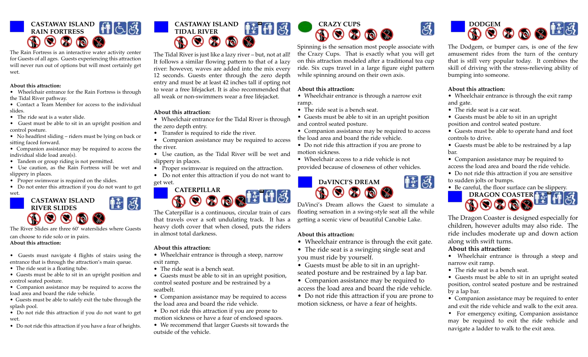# **CASTAWAY ISLAND RAIN FORTRESS**

The Rain Fortress is an interactive water activity center for Guests of all ages. Guests experiencing this attraction will never run out of options but will most certainly get wet.

#### **About this attraction:**

- Wheelchair entrance for the Rain Fortress is through the Tidal River pathway.
- Contact a Team Member for access to the individual slides.
- The ride seat is a water slide.
- Guest must be able to sit in an upright position and control posture.
- No headfirst sliding riders must be lying on back or sitting faced forward.
- Companion assistance may be required to access the individual slide load area(s).
- Tandem or group riding is not permitted.
- Use caution, as the Rain Fortress will be wet and slippery in places.
- Proper swimwear is required on the slides.
- Do not enter this attraction if you do not want to get wet.



The River Slides are three 60' waterslides where Guests can choose to ride solo or in pairs.

#### **About this attraction:**

• Guests must navigate 4 flights of stairs using the entrance that is through the attraction's main queue.

- The ride seat is a floating tube.
- Guests must be able to sit in an upright position and control seated posture.
- Companion assistance may be required to access the load area and board the ride vehicle.
- Guests must be able to safely exit the tube through the splash pool.
- Do not ride this attraction if you do not want to get wet.
- Do not ride this attraction if you have a fear of heights.



The Tidal River is just like a lazy river – but, not at all! It follows a similar flowing pattern to that of a lazy river: however, waves are added into the mix every 12 seconds. Guests enter through the zero depth entry and must be at least 42 inches tall if opting not to wear a free lifejacket. It is also recommended that all weak or non-swimmers wear a free lifejacket.

# **About this attraction:**

- Wheelchair entrance for the Tidal River is through the zero depth entry.
- Transfer is required to ride the river.
- Companion assistance may be required to access the river.
- Use caution, as the Tidal River will be wet and slippery in places.
- Proper swimwear is required on the attraction.
- Do not enter this attraction if you do not want to get wet.



The Caterpillar is a continuous, circular train of cars that travels over a soft undulating track. It has a heavy cloth cover that when closed, puts the riders in almost total darkness.

# **About this attraction:**

- Wheelchair entrance is through a steep, narrow exit ramp.
- The ride seat is a bench seat.
- Guests must be able to sit in an upright position, control seated posture and be restrained by a seatbelt.
- Companion assistance may be required to access the load area and board the ride vehicle.
- Do not ride this attraction if you are prone to motion sickness or have a fear of enclosed spaces.
- We recommend that larger Guests sit towards the outside of the vehicle.



Spinning is the sensation most people associate with the Crazy Cups. That is exactly what you will get on this attraction modeled after a traditional tea cup ride. Six cups travel in a large figure eight pattern while spinning around on their own axis.

# **About this attraction:**

- Wheelchair entrance is through a narrow exit ramp.
- The ride seat is a bench seat.
- Guests must be able to sit in an upright position and control seated posture.
- Companion assistance may be required to access the load area and board the ride vehicle.
- Do not ride this attraction if you are prone to motion sickness.
- Wheelchair access to a ride vehicle is not provided because of closeness of other vehicles.



DaVinci's Dream allows the Guest to simulate a floating sensation in a swing-style seat all the while getting a scenic view of beautiful Canobie Lake.

# **About this attraction:**

- Wheelchair entrance is through the exit gate.
- The ride seat is a swinging single seat and you must ride by yourself.
- Guests must be able to sit in an upright-
- seated posture and be restrained by a lap bar.
- Companion assistance may be required to access the load area and board the ride vehicle.
- Do not ride this attraction if you are prone to motion sickness, or have a fear of heights.



The Dodgem, or bumper cars, is one of the few amusement rides from the turn of the century that is still very popular today. It combines the skill of driving with the stress-relieving ability of bumping into someone.

# **About this attraction:**

હ્યું

幢岛

- Wheelchair entrance is through the exit ramp and gate.
- The ride seat is a car seat.
- Guests must be able to sit in an upright position and control seated posture.
- Guests must be able to operate hand and foot controls to drive.
- Guests must be able to be restrained by a lap bar.
- Companion assistance may be required to access the load area and board the ride vehicle.
- Do not ride this attraction if you are sensitive to sudden jolts or bumps.
- Be careful, the floor surface can be slippery.



The Dragon Coaster is designed especially for children, however adults may also ride. The ride includes moderate up and down action along with swift turns.

# **About this attraction:**

• Wheelchair entrance is through a steep and narrow exit ramp.

• The ride seat is a bench seat.

• Guests must be able to sit in an upright seated position, control seated posture and be restrained by a lap bar.

- Companion assistance may be required to enter and exit the ride vehicle and walk to the exit area.
- For emergency exiting, Companion assistance may be required to exit the ride vehicle and navigate a ladder to walk to the exit area.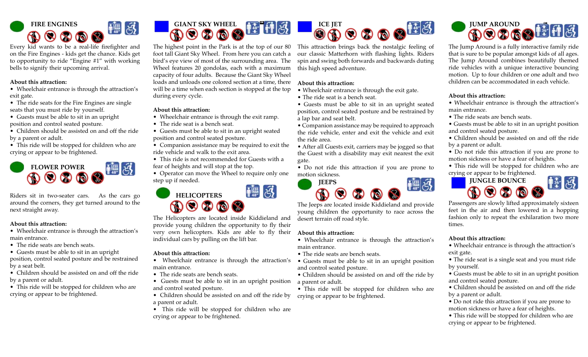

Every kid wants to be a real-life firefighter and on the Fire Engines - kids get the chance. Kids get to opportunity to ride "Engine #1" with working bells to signify their upcoming arrival.

#### **About this attraction:**

- Wheelchair entrance is through the attraction's exit gate.
- The ride seats for the Fire Engines are single seats that you must ride by yourself.
- Guests must be able to sit in an upright position and control seated posture.
- Children should be assisted on and off the ride by a parent or adult.
- This ride will be stopped for children who are crying or appear to be frightened.



Riders sit in two-seater cars. As the cars go around the corners, they get turned around to the next straight away.

#### **About this attraction:**

- Wheelchair entrance is through the attraction's main entrance.
- The ride seats are bench seats.
- Guests must be able to sit in an upright

position, control seated posture and be restrained by a seat belt.

- Children should be assisted on and off the ride by a parent or adult.
- This ride will be stopped for children who are crying or appear to be frightened.



The highest point in the Park is at the top of our 80 foot tall Giant Sky Wheel. From here you can catch a bird's eye view of most of the surrounding area. The Wheel features 20 gondolas, each with a maximum capacity of four adults. Because the Giant Sky Wheel loads and unloads one colored section at a time, there will be a time when each section is stopped at the top during every cycle.

#### **About this attraction:**

- Wheelchair entrance is through the exit ramp.
- The ride seat is a bench seat.
- Guests must be able to sit in an upright seated position and control seated posture.
- Companion assistance may be required to exit the ride vehicle and walk to the exit area.
- This ride is not recommended for Guests with a fear of heights and will stop at the top.
- Operator can move the Wheel to require only one step up if needed.



The Helicopters are located inside Kiddieland and provide young children the opportunity to fly their very own helicopters. Kids are able to fly their individual cars by pulling on the lift bar.

#### **About this attraction:**

- Wheelchair entrance is through the attraction's main entrance.
- The ride seats are bench seats.
- Guests must be able to sit in an upright position and control seated posture.
- Children should be assisted on and off the ride by a parent or adult.
- This ride will be stopped for children who are crying or appear to be frightened.



This attraction brings back the nostalgic feeling of our classic Matterhorn with flashing lights. Riders spin and swing both forwards and backwards duting this high speed adventure.

# **About this attraction:**

- Wheelchair entrance is through the exit gate.
- The ride seat is a bench seat.
- Guests must be able to sit in an upright seated position, control seated posture and be restrained by a lap bar and seat belt.

• Companion assistance may be required to approach the ride vehicle, enter and exit the vehicle and exit the ride area.

• After all Guests exit, carriers may be jogged so that the Guest with a disability may exit nearest the exit gate.

• Do not ride this attraction if you are prone to motion sickness.



The Jeeps are located inside Kiddieland and provide young children the opportunity to race across the desert terrain off road style.

#### **About this attraction:**

- Wheelchair entrance is through the attraction's main entrance.
- The ride seats are bench seats.
- Guests must be able to sit in an upright position and control seated posture.
- Children should be assisted on and off the ride by a parent or adult.
- This ride will be stopped for children who are crying or appear to be frightened.



The Jump Around is a fully interactive family ride that is sure to be popular amongst kids of all ages. The Jump Around combines beautifully themed ride vehicles with a unique interactive bouncing motion. Up to four children or one adult and two children can be accommodated in each vehicle.

# **About this attraction:**

- Wheelchair entrance is through the attraction's main entrance.
- The ride seats are bench seats.
- Guests must be able to sit in an upright position and control seated posture.
- Children should be assisted on and off the ride by a parent or adult.
- Do not ride this attraction if you are prone to motion sickness or have a fear of heights.
- This ride will be stopped for children who are crying or appear to be frightened.



Passengers are slowly lifted approximately sixteen feet in the air and then lowered in a hopping fashion only to repeat the exhilaration two more times.

# **About this attraction:**

- Wheelchair entrance is through the attraction's exit gate.
- The ride seat is a single seat and you must ride by yourself.
- Guests must be able to sit in an upright position and control seated posture.
- Children should be assisted on and off the ride by a parent or adult.
- Do not ride this attraction if you are prone to motion sickness or have a fear of heights.
- This ride will be stopped for children who are crying or appear to be frightened.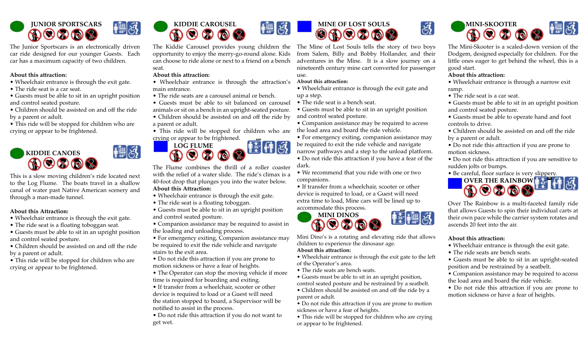

The Junior Sportscars is an electronically driven car ride designed for our younger Guests. Each car has a maximum capacity of two children.

#### **About this attraction:**

- Wheelchair entrance is through the exit gate.
- The ride seat is a car seat.
- Guests must be able to sit in an upright position and control seated posture.
- Children should be assisted on and off the ride by a parent or adult.
- This ride will be stopped for children who are crying or appear to be frightened.



This is a slow moving children's ride located next to the Log Flume. The boats travel in a shallow canal of water past Native American scenery and through a man-made tunnel.

■ 子

#### **About this Attraction:**

- Wheelchair entrance is through the exit gate.
- The ride seat is a floating toboggan seat.
- Guests must be able to sit in an upright position and control seated posture.
- Children should be assisted on and off the ride by a parent or adult.
- This ride will be stopped for children who are crying or appear to be frightened.



The Kiddie Carousel provides young children the opportunity to enjoy the merry-go-round alone. Kids can choose to ride alone or next to a friend on a bench seat.

| 感

#### **About this attraction:**

- Wheelchair entrance is through the attraction's main entrance.
- The ride seats are a carousel animal or bench.
- Guests must be able to sit balanced on carousel animals or sit on a bench in an upright-seated posture.
- Children should be assisted on and off the ride by a parent or adult.
- This ride will be stopped for children who are crying or appear to be frightened. AND



The Flume combines the thrill of a roller coaster with the relief of a water slide. The ride's climax is a 40-foot drop that plunges you into the water below. **About this Attraction:**

- Wheelchair entrance is through the exit gate.
- The ride seat is a floating toboggan.
- Guests must be able to sit in an upright position and control seated posture.
- Companion assistance may be required to assist in the loading and unloading process.
- For emergency exiting, Companion assistance may be required to exit the ride vehicle and navigate stairs to the exit area.
- Do not ride this attraction if you are prone to motion sickness or have a fear of heights.
- The Operator can stop the moving vehicle if more time is required for boarding and exiting.
- If transfer from a wheelchair, scooter or other device is required to load or a Guest will need the station stopped to board, a Supervisor will be notified to assist in the process.
- Do not ride this attraction if you do not want to get wet.



The Mine of Lost Souls tells the story of two boys from Salem, Billy and Bobby Hollander, and their adventures in the Mine. It is a slow journey on a nineteenth century mine cart converted for passenger use.

#### **About this attraction:**

• Wheelchair entrance is through the exit gate and up a step.

- The ride seat is a bench seat.
- Guests must be able to sit in an upright position and control seated posture.
- Companion assistance may be required to access the load area and board the ride vehicle.
- For emergency exiting, companion assistance may be required to exit the ride vehicle and navigate narrow pathways and a step to the unload platform.
- Do not ride this attraction if you have a fear of the dark.
- We recommend that you ride with one or two companions.

• If transfer from a wheelchair, scooter or other device is required to load, or a Guest will need extra time to load, Mine cars will be lined up to accommodate this process.



Mini Dino's is a rotating and elevating ride that allows children to experience the dinosaur age.

#### **About this attraction:**

- Wheelchair entrance is through the exit gate to the left of the Operator's area.
- The ride seats are bench seats.
- Guests must be able to sit in an upright position, control seated posture and be restrained by a seatbelt.
- Children should be assisted on and off the ride by a parent or adult.
- Do not ride this attraction if you are prone to motion sickness or have a fear of heights.
- This ride will be stopped for children who are crying or appear to be frightened.



The Mini-Skooter is a scaled-down version of the Dodgem, designed especially for children. For the little ones eager to get behind the wheel, this is a good start.

#### **About this attraction:**

 $\mathfrak{F}$ 

• Wheelchair entrance is through a narrow exit ramp.

• The ride seat is a car seat.

• Guests must be able to sit in an upright position and control seated posture.

- Guests must be able to operate hand and foot controls to drive.
- Children should be assisted on and off the ride by a parent or adult.
- Do not ride this attraction if you are prone to motion sickness.

• Do not ride this attraction if you are sensitive to sudden jolts or bumps.

• Be careful, floor surface is very slippery.



Over The Rainbow is a multi-faceted family ride that allows Guests to spin their individual carts at their own pace while the carrier system rotates and ascends 20 feet into the air.

#### **About this attraction:**

- Wheelchair entrance is through the exit gate.
- The ride seats are bench seats.
- Guests must be able to sit in an upright-seated position and be restrained by a seatbelt.
- Companion assistance may be required to access the load area and board the ride vehicle.
- Do not ride this attraction if you are prone to motion sickness or have a fear of heights.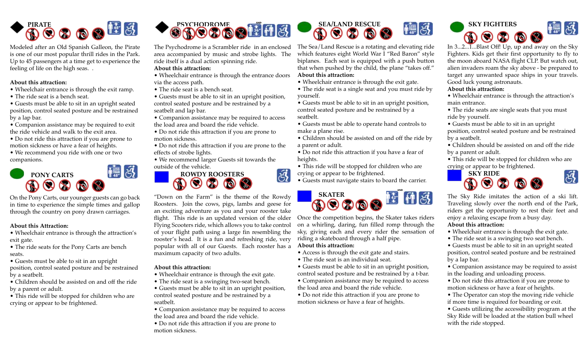

Modeled after an Old Spanish Galleon, the Pirate is one of our most popular thrill rides in the Park. Up to 45 passengers at a time get to experience the feeling of life on the high seas. .

#### **About this attraction:**

- Wheelchair entrance is through the exit ramp.
- The ride seat is a bench seat.

• Guests must be able to sit in an upright seated position, control seated posture and be restrained by a lap bar.

• Companion assistance may be required to exit the ride vehicle and walk to the exit area.

• Do not ride this attraction if you are prone to motion sickness or have a fear of heights.

• We recommend you ride with one or two companions.



On the Pony Carts, our younger guests can go back in time to experience the simple times and gallop through the country on pony drawn carriages.

#### **About this Attraction:**

- Wheelchair entrance is through the attraction's exit gate.
- The ride seats for the Pony Carts are bench seats.

• Guests must be able to sit in an upright position, control seated posture and be restrained by a seatbelt.

• Children should be assisted on and off the ride by a parent or adult.

• This ride will be stopped for children who are crying or appear to be frightened.



The Psychodrome is a Scrambler ride in an enclosed area accompanied by music and strobe lights. The ride itself is a dual action spinning ride.

# **About this attraction:**

- Wheelchair entrance is through the entrance doors via the access path.
- The ride seat is a bench seat.
- Guests must be able to sit in an upright position, control seated posture and be restrained by a seatbelt and lap bar.
- Companion assistance may be required to access the load area and board the ride vehicle.
- Do not ride this attraction if you are prone to motion sickness.

• Do not ride this attraction if you are prone to the effects of strobe lights.

• We recommend larger Guests sit towards the outside of the vehicle.  $\partial\vec{3}$ 



"Down on the Farm" is the theme of the Rowdy Roosters. Join the cows, pigs, lambs and geese for an exciting adventure as you and your rooster take flight. This ride is an updated version of the older Flying Scooters ride, which allows you to take control of your flight path using a large fin resembling the rooster's head. It is a fun and refreshing ride, very popular with all of our Guests. Each rooster has a maximum capacity of two adults.

# **About this attraction:**

- Wheelchair entrance is through the exit gate.
- The ride seat is a swinging two-seat bench.
- Guests must be able to sit in an upright position, control seated posture and be restrained by a seatbelt.

• Companion assistance may be required to access the load area and board the ride vehicle.

• Do not ride this attraction if you are prone to motion sickness.



The Sea/Land Rescue is a rotating and elevating ride which features eight World War I "Red Baron" style biplanes. Each seat is equipped with a push button that when pushed by the child, the plane "takes off." **About this attraction:**

- Wheelchair entrance is through the exit gate.
- The ride seat is a single seat and you must ride by yourself.
- Guests must be able to sit in an upright position, control seated posture and be restrained by a seatbelt.
- Guests must be able to operate hand controls to make a plane rise.
- Children should be assisted on and off the ride by a parent or adult.
- Do not ride this attraction if you have a fear of heights.
- This ride will be stopped for children who are crying or appear to be frightened.
- Guests must navigate stairs to board the carrier.



Once the competition begins, the Skater takes riders on a whirling, daring, fun filled romp through the sky, giving each and every rider the sensation of riding a skateboard through a half pipe. **About this attraction:**

- Access is through the exit gate and stairs.
- The ride seat is an individual seat.
- Guests must be able to sit in an upright position, control seated posture and be restrained by a t-bar.
- Companion assistance may be required to access the load area and board the ride vehicle.
- Do not ride this attraction if you are prone to motion sickness or have a fear of heights.



In 3...2...1...Blast Off! Up, up and away on the Sky Fighters. Kids get their first opportunity to fly to the moon aboard NASA flight CLP. But watch out, alien invaders roam the sky above - be prepared to target any unwanted space ships in your travels. Good luck young astronauts.

**About this attraction:**

• Wheelchair entrance is through the attraction's main entrance.

• The ride seats are single seats that you must ride by yourself.

• Guests must be able to sit in an upright position, control seated posture and be restrained by a seatbelt.

• Children should be assisted on and off the ride by a parent or adult.

• This ride will be stopped for children who are crying or appear to be frightened.

હ્યું



The Sky Ride imitates the action of a ski lift. Traveling slowly over the north end of the Park, riders get the opportunity to rest their feet and enjoy a relaxing escape from a busy day. **About this attraction:**

- Wheelchair entrance is through the exit gate.
- The ride seat is a swinging two seat bench.

• Guests must be able to sit in an upright seated position, control seated posture and be restrained by a lap bar.

- Companion assistance may be required to assist in the loading and unloading process.
- Do not ride this attraction if you are prone to motion sickness or have a fear of heights.
- The Operator can stop the moving ride vehicle if more time is required for boarding or exit.

• Guests utilizing the accessibility program at the Sky Ride will be loaded at the station bull wheel with the ride stopped.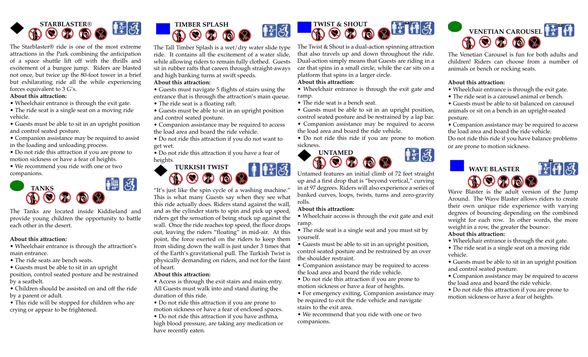

The Starblaster® ride is one of the most extreme attractions in the Park combining the anticipation of a space shuttle lift off with the thrills and excitement of a bungee jump. Riders are blasted not once, but twice up the 80-foot tower in a brief but exhilarating ride all the while experiencing forces equivalent to 3 G's.

#### **About this attraction:**

• Wheelchair entrance is through the exit gate.

• The ride seat is a single seat on a moving ride vehicle.

• Guests must be able to sit in an upright position and control seated posture.

• Companion assistance may be required to assist in the loading and unloading process.

• Do not ride this attraction if you are prone to motion sickness or have a fear of heights.

• We recommend you ride with one or two companions.



The Tanks are located inside Kiddieland and provide young children the opportunity to battle each other in the desert.

# **About this attraction:**

• Wheelchair entrance is through the attraction's main entrance.

• The ride seats are bench seats.

• Guests must be able to sit in an upright

position, control seated posture and be restrained by a seatbelt.

• Children should be assisted on and off the ride by a parent or adult.

• This ride will be stopped for children who are crying or appear to be frightened.



The Tall Timber Splash is a wet/dry water slide type ride. It contains all the excitement of a water slide, while allowing riders to remain fully clothed. Guests sit in rubber rafts that careen through straight-aways and high banking turns at swift speeds.

# **About this attraction:**

- Guests must navigate 5 flights of stairs using the entrance that is through the attraction's main queue.
- The ride seat is a floating raft.
- Guests must be able to sit in an upright position and control seated posture.
- Companion assistance may be required to access the load area and board the ride vehicle.

• Do not ride this attraction if you do not want to get wet.

• Do not ride this attraction if you have a fear of heights.



"It's just like the spin cycle of a washing machine." This is what many Guests say when they see what this ride actually does. Riders stand against the wall, and as the cylinder starts to spin and pick up speed, riders get the sensation of being stuck up against the wall. Once the ride reaches top speed, the floor drops out, leaving the riders "floating" in mid-air. At this point, the force exerted on the riders to keep them from sliding down the wall is just under 3 times that of the Earth's gravitational pull. The Turkish Twist is physically demanding on riders, and not for the faint of heart.

# **About this attraction:**

- Access is through the exit stairs and main entry. All Guests must walk into and stand during the duration of this ride.
- Do not ride this attraction if you are prone to motion sickness or have a fear of enclosed spaces.
- Do not ride this attraction if you have asthma, high blood pressure, are taking any medication or have recently eaten.



The Twist & Shout is a dual-action spinning attraction that also travels up and down throughout the ride. Dual-action simply means that Guests are riding in a car that spins in a small circle, while the car sits on a platform that spins in a larger circle.

#### **About this attraction:**

• Wheelchair entrance is through the exit gate and ramp.

- The ride seat is a bench seat.
- Guests must be able to sit in an upright position, control seated posture and be restrained by a lap bar.
- Companion assistance may be required to access the load area and board the ride vehicle.

• Do not ride this ride if you are prone to motion sickness. 恒日



Untamed features an initial climb of 72 feet straight up and a first drop that is "beyond vertical," curving in at 97 degrees. Riders will also experience a series of banked curves, loops, twists, turns and zero-gravity rolls.

#### **About this attraction:**

• Wheelchair access is through the exit gate and exit ramp.

• The ride seat is a single seat and you must sit by yourself.

• Guests must be able to sit in an upright position, control seated posture and be restrained by an over the shoulder restraint.

- Companion assistance may be required to access the load area and board the ride vehicle.
- Do not ride this attraction if you are prone to motion sickness or have a fear of heights.

• For emergency exiting, Companion assistance may be required to exit the ride vehicle and navigate stairs to the exit area.

• We recommend that you ride with one or two companions.



The Venetian Carousel is fun for both adults and children! Riders can choose from a number of animals or bench or rocking seats.

# **About this attraction:**

- Wheelchair entrance is through the exit gate.
- The ride seat is a carousel animal or bench.

• Guests must be able to sit balanced on carousel animals or sit on a bench in an upright-seated posture.

• Companion assistance may be required to access the load area and board the ride vehicle. Do not ride this ride if you have balance problems or are prone to motion sickness.



Wave Blaster is the adult version of the Jump Around. The Wave Blaster allows riders to create their own unique ride experience with varying degrees of bouncing depending on the combined weight for each row. In other words, the more weight in a row, the greater the bounce.

# **About this attraction:**

• Wheelchair entrance is through the exit gate.

• The ride seat is a single seat on a moving ride vehicle.

• Guests must be able to sit in an upright position and control seated posture.

• Companion assistance may be required to access the load area and board the ride vehicle.

• Do not ride this attraction if you are prone to motion sickness or have a fear of heights.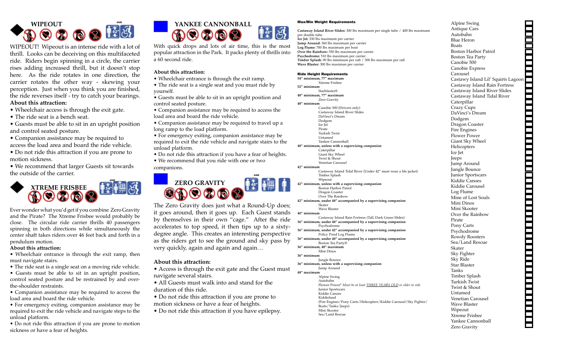

WIPEOUT! Wipeout is an intense ride with a lot of thrill. Looks can be deceiving on this multifaceted ride. Riders begin spinning in a circle, the carrier rises adding increased thrill, but it doesn't stop here. As the ride rotates in one direction, the carrier rotates the other way - skewing your perception. Just when you think you are finished, the ride reverses itself - try to catch your bearings. **About this attraction:**

- Wheelchair access is through the exit gate.
- The ride seat is a bench seat.

• Guests must be able to sit in an upright position and control seated posture.

• Companion assistance may be required to access the load area and board the ride vehicle.

• Do not ride this attraction if you are prone to motion sickness.

• We recommend that larger Guests sit towards the outside of the carrier.



Ever wonder what you'd get if you combine Zero Gravity and the Pirate? The Xtreme Frisbee would probably be close. The circular ride carrier thrills 40 passengers spinning in both directions while simultaneously the center shaft takes riders over 46 feet back and forth in a pendulum motion.

#### **About this attraction:**

• Wheelchair entrance is through the exit ramp, then must navigate stairs.

• The ride seat is a single seat on a moving ride vehicle.

• Guests must be able to sit in an upright position, control seated posture and be restrained by and overthe-shoulder restraints.

• Companion assistance may be required to access the load area and board the ride vehicle.

• For emergency exiting, companion assistance may be required to exit the ride vehicle and navigate steps to the unload platform.

• Do not ride this attraction if you are prone to motion sickness or have a fear of heights.



With quick drops and lots of air time, this is the most popular attraction in the Park. It packs plenty of thrills into a 60 second ride.

#### **About this attraction:**

- Wheelchair entrance is through the exit ramp.
- The ride seat is a single seat and you must ride by yourself.
- Guests must be able to sit in an upright position and control seated posture.
- Companion assistance may be required to access the load area and board the ride vehicle.
- Companion assistance may be required to travel up a long ramp to the load platform.

• For emergency exiting, companion assistance may be required to exit the ride vehicle and navigate stairs to the unload platform.

- Do not ride this attraction if you have a fear of heights.
- We recommend that you ride with one or two

companions.



The Zero Gravity does just what a Round-Up does; it goes around, then it goes up. Each Guest stands by themselves in their own "cage." After the ride accelerates to top speed, it then tips up to a sixtydegree angle. This creates an interesting perspective as the riders get to see the ground and sky pass by very quickly, again and again and again…

#### **About this attraction:**

• Access is through the exit gate and the Guest must navigate several stairs.

• All Guests must walk into and stand for the duration of this ride.

- Do not ride this attraction if you are prone to
- motion sickness or have a fear of heights.
- Do not ride this attraction if you have epilepsy.

#### Max/Min Weight Requirements

**Castaway Island River Slides:** 300 lbs maximum per single tube / 400 lbs maximum per double tube **Ice Jet:** 330 lbs maximum per carrier **Jump Around:** 360 lbs maximum per carrier **Log Flume:** 700 lbs maximum per boat **Over the Rainbow:** 550 lbs maximum per carrier **Psychodrome:** 510 lbs maximum per carrier **Timber Splash:** 90 lbs minimum per raft / 300 lbs maximum per raft **Wave Blaster:** 300 lbs maximun per carrier

#### Ride Height Requirements

**54" minimum, 77" maximum** Xtreme Frisbee **52" minimum** Starblaster® **48" minimum, 77" maximum** Zero Gravity **48" minimum** Canobie 500 (Drivers only) Castaway Island River Slides DaVinci's Dream Dodgem Ice Jet Pirate Turkish Twist Untamed Yankee Cannonball **48" minimum, unless with a supervising companion** Caterpillar Giant Sky Wheel Twist & Shout Venetian Carousel **42" minimum** Castaway Island Tidal River (Under 42" must wear a life jacket) Timber Splash Wipeout **42" minimum, unless with a supervising companion** Boston Harbor Patrol Dragon Coaster Over The Rainbow **42" minimum, under 48" accompanied by a supervising companion** Skater Wave Blaster **40" minimum** Castaway Island Rain Fortress (Tall, Dark Green Slides) **36" minimum, under 48" accompanied by a supervising companion** Psychodrome **36" minimum, under 42" accompanied by a supervising companion** Policy Pond Log Flume **36" minimum, under 40" accompanied by a supervising companion** Boston Tea Party® **36" minimum, 48" maximum** Mini Dinos **36" minimum** Jungle Bounce **36" minimum, unless with a supervising companion** Jump Around **48" maximum** Alpine Swing Autobahn Flower Power\* *Must be at least THREE YEARS OLD or older to ride* Junior Sportscars

(Fire Engines/Pony Carts/Helicopters/Kiddie Carousel/Sky Fighter/

Kiddie Canoes Kiddieland

Boats/Tanks/Jeeps) Mini Skooter Sea/Land Rescue

Alpine Swing Antique Cars Autobahn Blue Heron Boats Boston Harbor Patrol Boston Tea Party Canobie 500 Canobie Express Carousel Alpine Swing<br>
Antique Cas<br>
Antiobaln<br>
Antiobaln<br>
Antiobaln<br>
Bots<br>
Antiobaln<br>
Boston Harbor Patrol<br>
Boston Harbor Patrol<br>
Canobie Express<br>
Castawy Island Lil' Squirts Lagoon<br>
Castaway Island River Siles<br>
Castaway Island Riv Castaway Island Rain Fortress Castaway Island River Slides Castaway Island Tidal River Caterpillar Crazy Cups DaVinci's Dream Dodgem Dragon Coaster Fire Engines Flower Power Giant Sky Wheel Helicopters Ice Jet Jeeps Jump Around Jungle Bounce Junior Sportscars Kiddie Canoes Kiddie Carousel Log Flume Mine of Lost Souls Mini Dinos Mini Skooter Over the Rainbow Pirate Pony Carts Psychodrome Rowdy Roosters Sea/Land Rescue Skater Sky Fighter Sky Ride Star Blaster Tanks Timber Splash Turkish Twist Twist & Shout Untamed Venetian Carousel Wave Blaster Wipeout Xtreme Frisbee Yankee Cannonball Zero Gravity